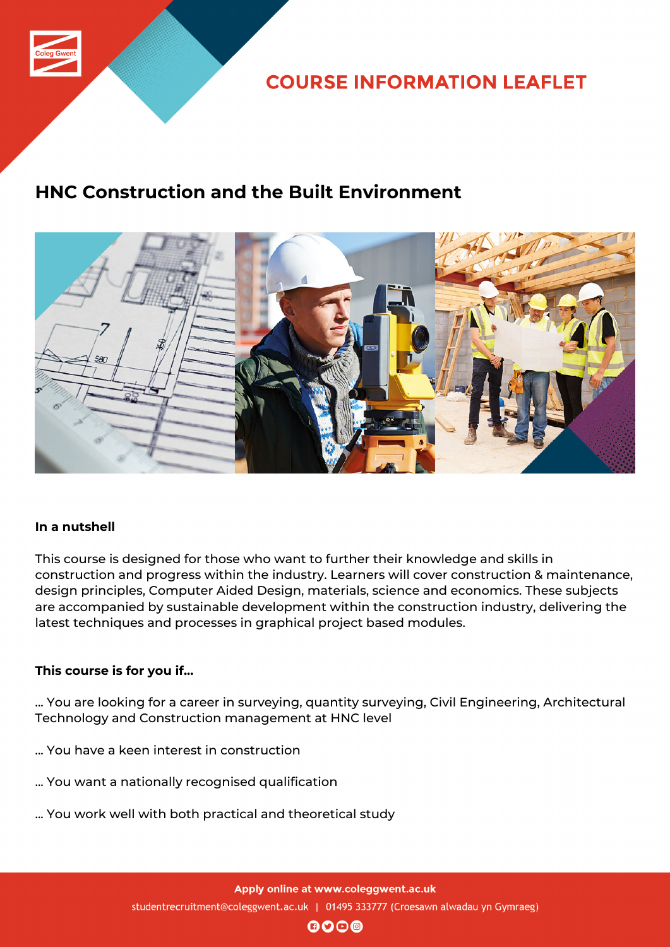

**COURSE INFORMATION LEAFLET** 

## **HNC Construction and the Built Environment**



## **In a nutshell**

This course is designed for those who want to further their knowledge and skills in construction and progress within the industry. Learners will cover construction & maintenance, design principles, Computer Aided Design, materials, science and economics. These subjects are accompanied by sustainable development within the construction industry, delivering the latest techniques and processes in graphical project based modules.

## **This course is for you if...**

... You are looking for a career in surveying, quantity surveying, Civil Engineering, Architectural Technology and Construction management at HNC level

- ... You have a keen interest in construction
- ... You want a nationally recognised qualification
- ... You work well with both practical and theoretical study

Apply online at www.coleggwent.ac.uk studentrecruitment@coleggwent.ac.uk | 01495 333777 (Croesawn alwadau yn Gymraeg)

 $\mathbf{0}$  $\mathbf{0}$  $\mathbf{0}$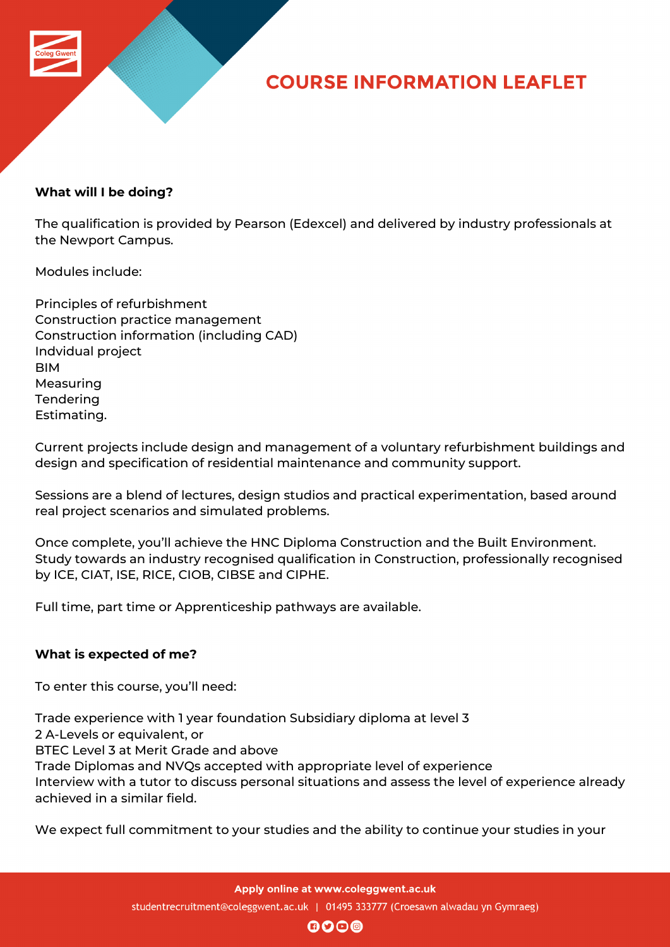

# **COURSE INFORMATION LEAFLET**

#### **What will I be doing?**

The qualification is provided by Pearson (Edexcel) and delivered by industry professionals at the Newport Campus.

Modules include:

Principles of refurbishment Construction practice management Construction information (including CAD) Indvidual project **BIM** Measuring **Tendering** Estimating.

Current projects include design and management of a voluntary refurbishment buildings and design and specification of residential maintenance and community support.

Sessions are a blend of lectures, design studios and practical experimentation, based around real project scenarios and simulated problems.

Once complete, you'll achieve the HNC Diploma Construction and the Built Environment. Study towards an industry recognised qualification in Construction, professionally recognised by ICE, CIAT, ISE, RICE, CIOB, CIBSE and CIPHE.

Full time, part time or Apprenticeship pathways are available.

## **What is expected of me?**

To enter this course, you'll need:

Trade experience with 1 year foundation Subsidiary diploma at level 3 2 A-Levels or equivalent, or BTEC Level 3 at Merit Grade and above Trade Diplomas and NVQs accepted with appropriate level of experience Interview with a tutor to discuss personal situations and assess the level of experience already achieved in a similar field.

We expect full commitment to your studies and the ability to continue your studies in your

 $0000$